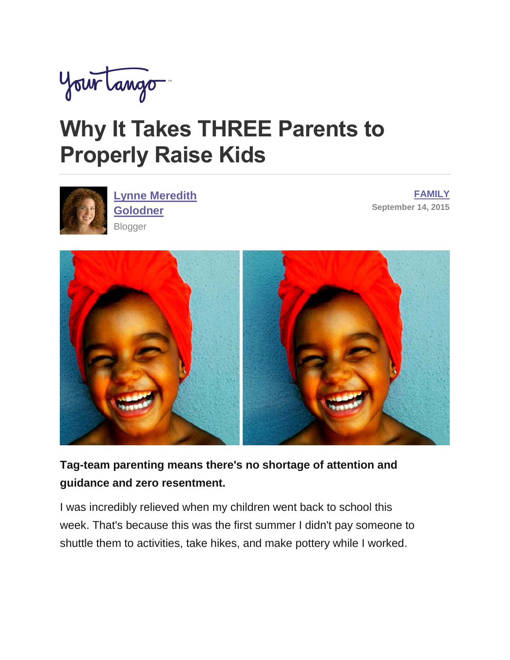

# **Why It Takes THREE Parents to Properly Raise Kids**



**Lynne Meredith [Golodner](http://www.yourtango.com/users/lynne-meredith-golodner) Blogger** 

**[FAMILY](http://www.yourtango.com/family) September 14, 2015**



**Tag-team parenting means there's no shortage of attention and guidance and zero resentment.**

I was incredibly relieved when my children went back to school this week. That's because this was the first summer I didn't pay someone to shuttle them to activities, take hikes, and make pottery while I worked.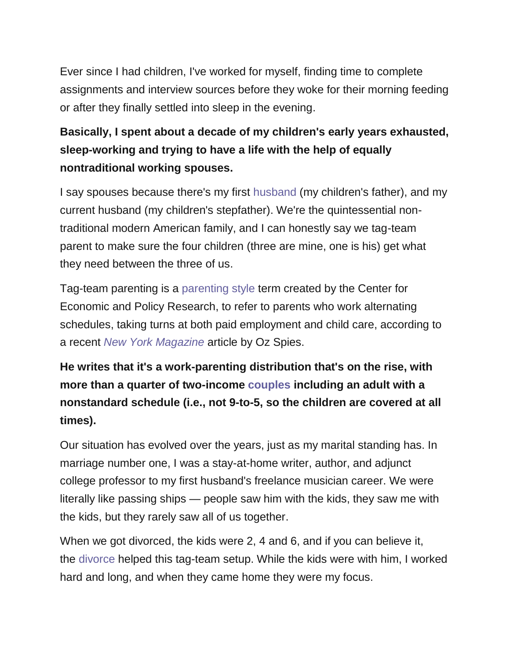Ever since I had children, I've worked for myself, finding time to complete assignments and interview sources before they woke for their morning feeding or after they finally settled into sleep in the evening.

### **Basically, I spent about a decade of my children's early years exhausted, sleep-working and trying to have a life with the help of equally nontraditional working spouses.**

I say spouses because there's my first [husband](http://www.yourtango.com/2013197121/marriage-i-put-my-husband-my-child) (my children's father), and my current husband (my children's stepfather). We're the quintessential nontraditional modern American family, and I can honestly say we tag-team parent to make sure the four children (three are mine, one is his) get what they need between the three of us.

Tag-team parenting is a [parenting style](http://www.yourtango.com/experts/lois-muir-mcclain/parenting-styles-whats-all-fuss) term created by the Center for Economic and Policy Research, to refer to parents who work alternating schedules, taking turns at both paid employment and child care, according to a recent *[New York Magazine](http://nymag.com/thecut/2015/08/tag-team-parenting.html)* article by Oz Spies.

## **He writes that it's a work-parenting distribution that's on the rise, with more than a quarter of two-income [couples](http://www.yourtango.com/couples) including an adult with a nonstandard schedule (i.e., not 9-to-5, so the children are covered at all times).**

Our situation has evolved over the years, just as my marital standing has. In marriage number one, I was a stay-at-home writer, author, and adjunct college professor to my first husband's freelance musician career. We were literally like passing ships — people saw him with the kids, they saw me with the kids, but they rarely saw all of us together.

When we got divorced, the kids were 2, 4 and 6, and if you can believe it, the [divorce](http://www.yourtango.com/breakups-and-divorce) helped this tag-team setup. While the kids were with him, I worked hard and long, and when they came home they were my focus.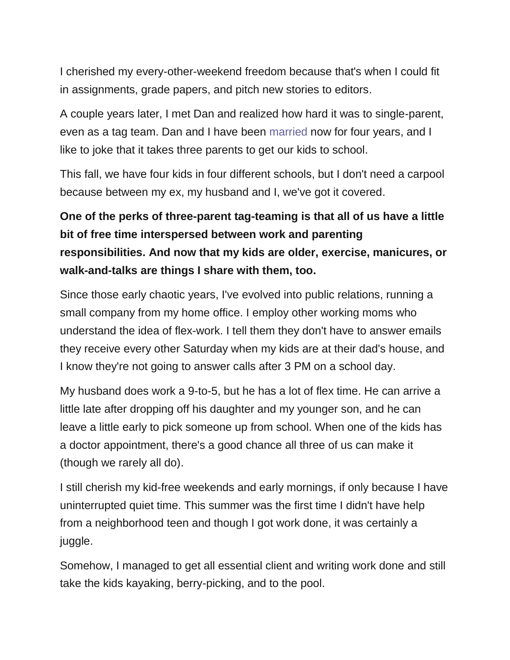I cherished my every-other-weekend freedom because that's when I could fit in assignments, grade papers, and pitch new stories to editors.

A couple years later, I met Dan and realized how hard it was to single-parent, even as a tag team. Dan and I have been [married](http://www.yourtango.com/married-lovestage) now for four years, and I like to joke that it takes three parents to get our kids to school.

This fall, we have four kids in four different schools, but I don't need a carpool because between my ex, my husband and I, we've got it covered.

## **One of the perks of three-parent tag-teaming is that all of us have a little bit of free time interspersed between work and parenting responsibilities. And now that my kids are older, exercise, manicures, or walk-and-talks are things I share with them, too.**

Since those early chaotic years, I've evolved into public relations, running a small company from my home office. I employ other working moms who understand the idea of flex-work. I tell them they don't have to answer emails they receive every other Saturday when my kids are at their dad's house, and I know they're not going to answer calls after 3 PM on a school day.

My husband does work a 9-to-5, but he has a lot of flex time. He can arrive a little late after dropping off his daughter and my younger son, and he can leave a little early to pick someone up from school. When one of the kids has a doctor appointment, there's a good chance all three of us can make it (though we rarely all do).

I still cherish my kid-free weekends and early mornings, if only because I have uninterrupted quiet time. This summer was the first time I didn't have help from a neighborhood teen and though I got work done, it was certainly a juggle.

Somehow, I managed to get all essential client and writing work done and still take the kids kayaking, berry-picking, and to the pool.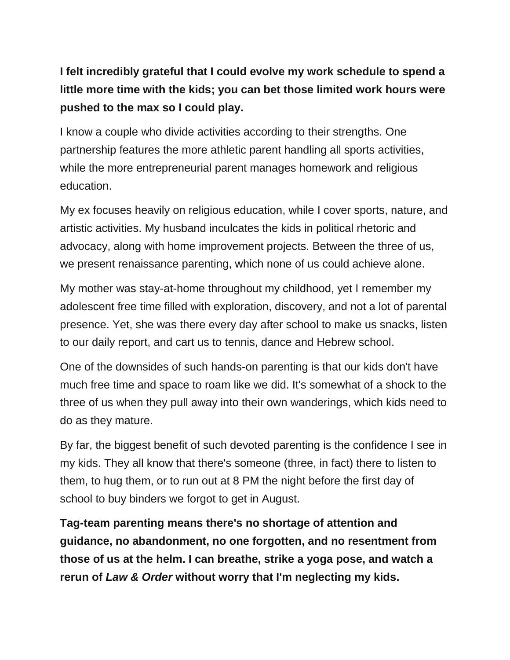### **I felt incredibly grateful that I could evolve my work schedule to spend a little more time with the kids; you can bet those limited work hours were pushed to the max so I could play.**

I know a couple who divide activities according to their strengths. One partnership features the more athletic parent handling all sports activities, while the more entrepreneurial parent manages homework and religious education.

My ex focuses heavily on religious education, while I cover sports, nature, and artistic activities. My husband inculcates the kids in political rhetoric and advocacy, along with home improvement projects. Between the three of us, we present renaissance parenting, which none of us could achieve alone.

My mother was stay-at-home throughout my childhood, yet I remember my adolescent free time filled with exploration, discovery, and not a lot of parental presence. Yet, she was there every day after school to make us snacks, listen to our daily report, and cart us to tennis, dance and Hebrew school.

One of the downsides of such hands-on parenting is that our kids don't have much free time and space to roam like we did. It's somewhat of a shock to the three of us when they pull away into their own wanderings, which kids need to do as they mature.

By far, the biggest benefit of such devoted parenting is the confidence I see in my kids. They all know that there's someone (three, in fact) there to listen to them, to hug them, or to run out at 8 PM the night before the first day of school to buy binders we forgot to get in August.

**Tag-team parenting means there's no shortage of attention and guidance, no abandonment, no one forgotten, and no resentment from those of us at the helm. I can breathe, strike a yoga pose, and watch a rerun of** *Law & Order* **without worry that I'm neglecting my kids.**